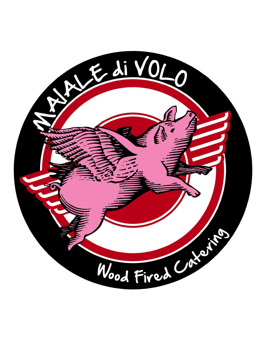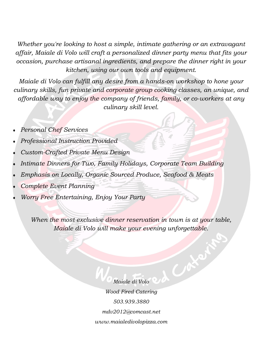*Whether you're looking to host a simple, intimate gathering or an extravagant affair, Maiale di Volo will craft a personalized dinner party menu that fits your occasion, purchase artisanal ingredients, and prepare the dinner right in your kitchen, using our own tools and equipment.*

*Maiale di Volo can fulfill any desire from a hands-on workshop to hone your culinary skills, fun private and corporate group cooking classes, an unique, and affordable way to enjoy the company of friends, family, or co-workers at any culinary skill level.*

- *Personal Chef Services*
- *Professional Instruction Provided*
- *Custom-Crafted Private Menu Design*
- *Intimate Dinners for Two, Family Holidays, Corporate Team Building*
- *Emphasis on Locally, Organic Sourced Produce, Seafood & Meats*
- *Complete Event Planning*
- *Worry Free Entertaining, Enjoy Your Party*

*When the most exclusive dinner reservation in town is at your table, Maiale di Volo will make your evening unforgettable.*

> CAX *Maiale di Volo Wood Fired Catering 503.939.3880 mdv2012@comcast.net www.maialedivolopizza.com*